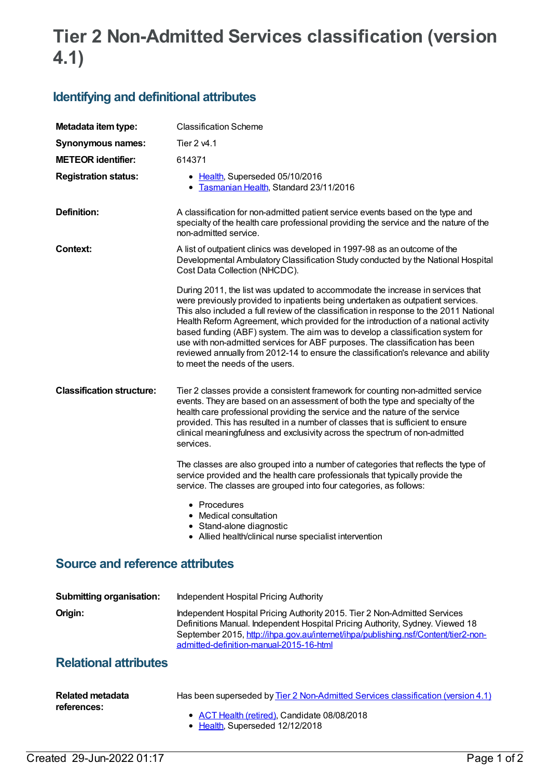## **Tier 2 Non-Admitted Services classification (version 4.1)**

## **Identifying and definitional attributes**

| Metadata item type:                    | <b>Classification Scheme</b>                                                                                                                                                                                                                                                                                                                                                                                                                                                                                                                                                                                                                    |
|----------------------------------------|-------------------------------------------------------------------------------------------------------------------------------------------------------------------------------------------------------------------------------------------------------------------------------------------------------------------------------------------------------------------------------------------------------------------------------------------------------------------------------------------------------------------------------------------------------------------------------------------------------------------------------------------------|
| <b>Synonymous names:</b>               | Tier 2 v4.1                                                                                                                                                                                                                                                                                                                                                                                                                                                                                                                                                                                                                                     |
| <b>METEOR identifier:</b>              | 614371                                                                                                                                                                                                                                                                                                                                                                                                                                                                                                                                                                                                                                          |
| <b>Registration status:</b>            | • Health, Superseded 05/10/2016<br>Tasmanian Health, Standard 23/11/2016<br>٠                                                                                                                                                                                                                                                                                                                                                                                                                                                                                                                                                                   |
| Definition:                            | A classification for non-admitted patient service events based on the type and<br>specialty of the health care professional providing the service and the nature of the<br>non-admitted service.                                                                                                                                                                                                                                                                                                                                                                                                                                                |
| <b>Context:</b>                        | A list of outpatient clinics was developed in 1997-98 as an outcome of the<br>Developmental Ambulatory Classification Study conducted by the National Hospital<br>Cost Data Collection (NHCDC).                                                                                                                                                                                                                                                                                                                                                                                                                                                 |
|                                        | During 2011, the list was updated to accommodate the increase in services that<br>were previously provided to inpatients being undertaken as outpatient services.<br>This also included a full review of the classification in response to the 2011 National<br>Health Reform Agreement, which provided for the introduction of a national activity<br>based funding (ABF) system. The aim was to develop a classification system for<br>use with non-admitted services for ABF purposes. The classification has been<br>reviewed annually from 2012-14 to ensure the classification's relevance and ability<br>to meet the needs of the users. |
| <b>Classification structure:</b>       | Tier 2 classes provide a consistent framework for counting non-admitted service<br>events. They are based on an assessment of both the type and specialty of the<br>health care professional providing the service and the nature of the service<br>provided. This has resulted in a number of classes that is sufficient to ensure<br>clinical meaningfulness and exclusivity across the spectrum of non-admitted<br>services.                                                                                                                                                                                                                 |
|                                        | The classes are also grouped into a number of categories that reflects the type of<br>service provided and the health care professionals that typically provide the<br>service. The classes are grouped into four categories, as follows:                                                                                                                                                                                                                                                                                                                                                                                                       |
|                                        | • Procedures<br>• Medical consultation<br>• Stand-alone diagnostic<br>• Allied health/clinical nurse specialist intervention                                                                                                                                                                                                                                                                                                                                                                                                                                                                                                                    |
| <b>Source and reference attributes</b> |                                                                                                                                                                                                                                                                                                                                                                                                                                                                                                                                                                                                                                                 |
| <b>Submitting organisation:</b>        | Independent Hospital Pricing Authority                                                                                                                                                                                                                                                                                                                                                                                                                                                                                                                                                                                                          |
| Origin:                                | Independent Hospital Pricing Authority 2015. Tier 2 Non-Admitted Services<br>Definitions Manual. Independent Hospital Pricing Authority, Sydney. Viewed 18                                                                                                                                                                                                                                                                                                                                                                                                                                                                                      |

## **Relational attributes**

| Related metadata<br>references: | Has been superseded by Tier 2 Non-Admitted Services classification (version 4.1) |
|---------------------------------|----------------------------------------------------------------------------------|
|                                 | • ACT Health (retired), Candidate 08/08/2018<br>• Health. Superseded 12/12/2018  |

admitted-definition-manual-2015-16-html

September 2015, [http://ihpa.gov.au/internet/ihpa/publishing.nsf/Content/tier2-non-](http://ihpa.gov.au/internet/ihpa/publishing.nsf/Content/tier2-non-admitted-definition-manual-2015-16-html)